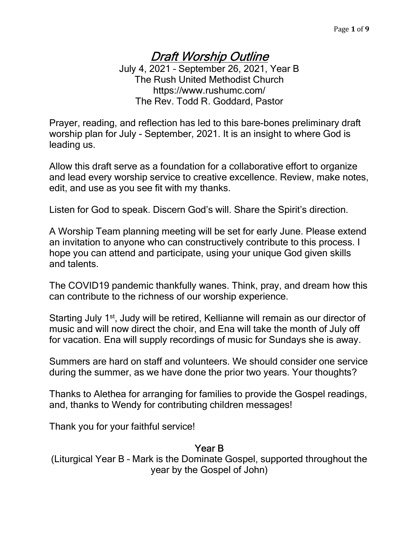# Draft Worship Outline

July 4, 2021 – September 26, 2021, Year B The Rush United Methodist Church https://www.rushumc.com/ The Rev. Todd R. Goddard, Pastor

Prayer, reading, and reflection has led to this bare-bones preliminary draft worship plan for July - September, 2021. It is an insight to where God is leading us.

Allow this draft serve as a foundation for a collaborative effort to organize and lead every worship service to creative excellence. Review, make notes, edit, and use as you see fit with my thanks.

Listen for God to speak. Discern God's will. Share the Spirit's direction.

A Worship Team planning meeting will be set for early June. Please extend an invitation to anyone who can constructively contribute to this process. I hope you can attend and participate, using your unique God given skills and talents.

The COVID19 pandemic thankfully wanes. Think, pray, and dream how this can contribute to the richness of our worship experience.

Starting July 1<sup>st</sup>, Judy will be retired, Kellianne will remain as our director of music and will now direct the choir, and Ena will take the month of July off for vacation. Ena will supply recordings of music for Sundays she is away.

Summers are hard on staff and volunteers. We should consider one service during the summer, as we have done the prior two years. Your thoughts?

Thanks to Alethea for arranging for families to provide the Gospel readings, and, thanks to Wendy for contributing children messages!

Thank you for your faithful service!

#### Year B

(Liturgical Year B – Mark is the Dominate Gospel, supported throughout the year by the Gospel of John)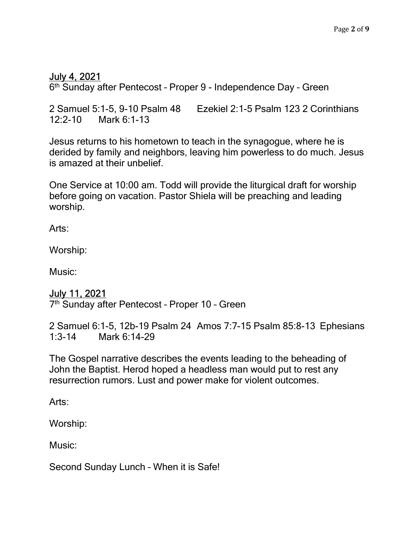# July 4, 2021

6 th Sunday after Pentecost – Proper 9 - Independence Day – Green

2 Samuel 5:1-5, 9-10 Psalm 48 Ezekiel 2:1-5 Psalm 123 2 Corinthians 12:2-10 Mark 6:1-13

Jesus returns to his hometown to teach in the synagogue, where he is derided by family and neighbors, leaving him powerless to do much. Jesus is amazed at their unbelief.

One Service at 10:00 am. Todd will provide the liturgical draft for worship before going on vacation. Pastor Shiela will be preaching and leading worship.

Arts:

Worship:

Music:

# July 11, 2021

7<sup>th</sup> Sunday after Pentecost - Proper 10 - Green

2 Samuel 6:1-5, 12b-19 Psalm 24 Amos 7:7-15 Psalm 85:8-13 Ephesians 1:3-14 Mark 6:14-29

The Gospel narrative describes the events leading to the beheading of John the Baptist. Herod hoped a headless man would put to rest any resurrection rumors. Lust and power make for violent outcomes.

Arts:

Worship:

Music:

Second Sunday Lunch – When it is Safe!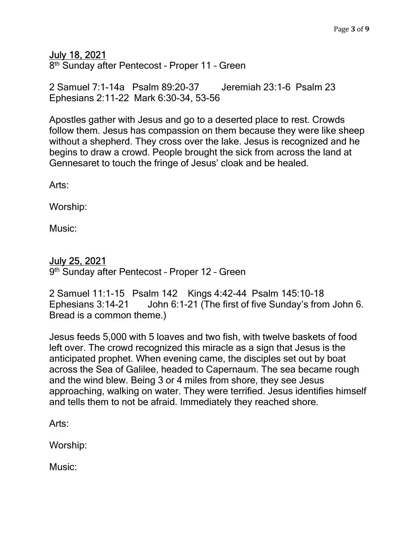July 18, 2021

8<sup>th</sup> Sunday after Pentecost - Proper 11 - Green

2 Samuel 7:1-14a Psalm 89:20-37 Jeremiah 23:1-6 Psalm 23 Ephesians 2:11-22 Mark 6:30-34, 53-56

Apostles gather with Jesus and go to a deserted place to rest. Crowds follow them. Jesus has compassion on them because they were like sheep without a shepherd. They cross over the lake. Jesus is recognized and he begins to draw a crowd. People brought the sick from across the land at Gennesaret to touch the fringe of Jesus' cloak and be healed.

Arts:

Worship:

Music:

#### July 25, 2021

9<sup>th</sup> Sunday after Pentecost - Proper 12 - Green

2 Samuel 11:1-15 Psalm 142 Kings 4:42-44 Psalm 145:10-18 Ephesians 3:14-21 John 6:1-21 (The first of five Sunday's from John 6. Bread is a common theme.)

Jesus feeds 5,000 with 5 loaves and two fish, with twelve baskets of food left over. The crowd recognized this miracle as a sign that Jesus is the anticipated prophet. When evening came, the disciples set out by boat across the Sea of Galilee, headed to Capernaum. The sea became rough and the wind blew. Being 3 or 4 miles from shore, they see Jesus approaching, walking on water. They were terrified. Jesus identifies himself and tells them to not be afraid. Immediately they reached shore.

Arts:

Worship:

Music: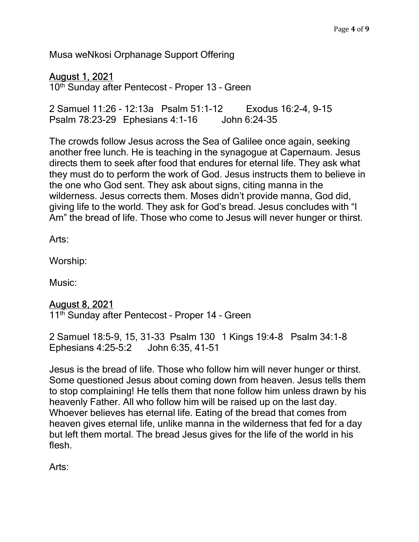Musa weNkosi Orphanage Support Offering

# August 1, 2021

10<sup>th</sup> Sunday after Pentecost - Proper 13 - Green

2 Samuel 11:26 - 12:13a Psalm 51:1-12 Exodus 16:2-4, 9-15 Psalm 78:23-29 Ephesians 4:1-16 John 6:24-35

The crowds follow Jesus across the Sea of Galilee once again, seeking another free lunch. He is teaching in the synagogue at Capernaum. Jesus directs them to seek after food that endures for eternal life. They ask what they must do to perform the work of God. Jesus instructs them to believe in the one who God sent. They ask about signs, citing manna in the wilderness. Jesus corrects them. Moses didn't provide manna, God did, giving life to the world. They ask for God's bread. Jesus concludes with "I Am" the bread of life. Those who come to Jesus will never hunger or thirst.

Arts:

Worship:

Music:

# August 8, 2021

11<sup>th</sup> Sunday after Pentecost - Proper 14 - Green

2 Samuel 18:5-9, 15, 31-33 Psalm 130 1 Kings 19:4-8 Psalm 34:1-8 Ephesians 4:25-5:2 John 6:35, 41-51

Jesus is the bread of life. Those who follow him will never hunger or thirst. Some questioned Jesus about coming down from heaven. Jesus tells them to stop complaining! He tells them that none follow him unless drawn by his heavenly Father. All who follow him will be raised up on the last day. Whoever believes has eternal life. Eating of the bread that comes from heaven gives eternal life, unlike manna in the wilderness that fed for a day but left them mortal. The bread Jesus gives for the life of the world in his flesh.

Arts: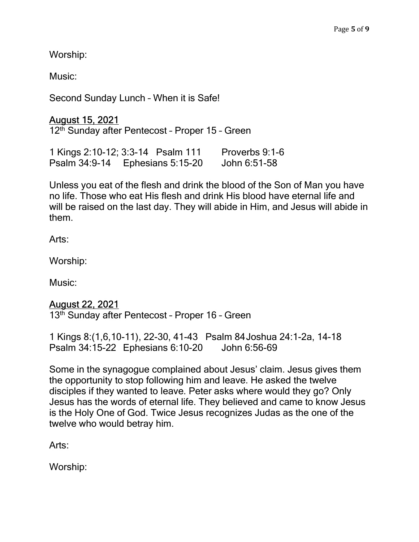Worship:

Music:

Second Sunday Lunch – When it is Safe!

August 15, 2021 12th Sunday after Pentecost – Proper 15 – Green

1 Kings 2:10-12; 3:3-14 Psalm 111 Proverbs 9:1-6 Psalm 34:9-14 Ephesians 5:15-20 John 6:51-58

Unless you eat of the flesh and drink the blood of the Son of Man you have no life. Those who eat His flesh and drink His blood have eternal life and will be raised on the last day. They will abide in Him, and Jesus will abide in them.

Arts:

Worship:

Music:

# August 22, 2021

13<sup>th</sup> Sunday after Pentecost - Proper 16 - Green

1 Kings 8:(1,6,10-11), 22-30, 41-43 Psalm 84 Joshua 24:1-2a, 14-18 Psalm 34:15-22 Ephesians 6:10-20 John 6:56-69

Some in the synagogue complained about Jesus' claim. Jesus gives them the opportunity to stop following him and leave. He asked the twelve disciples if they wanted to leave. Peter asks where would they go? Only Jesus has the words of eternal life. They believed and came to know Jesus is the Holy One of God. Twice Jesus recognizes Judas as the one of the twelve who would betray him.

Arts:

Worship: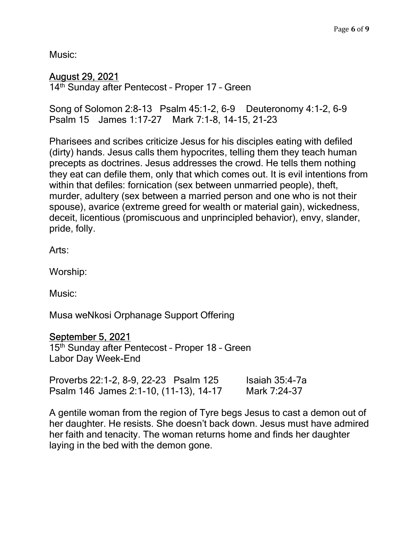Music:

# August 29, 2021

14th Sunday after Pentecost – Proper 17 – Green

Song of Solomon 2:8-13 Psalm 45:1-2, 6-9 Deuteronomy 4:1-2, 6-9 Psalm 15 James 1:17-27 Mark 7:1-8, 14-15, 21-23

Pharisees and scribes criticize Jesus for his disciples eating with defiled (dirty) hands. Jesus calls them hypocrites, telling them they teach human precepts as doctrines. Jesus addresses the crowd. He tells them nothing they eat can defile them, only that which comes out. It is evil intentions from within that defiles: fornication (sex between unmarried people), theft, murder, adultery (sex between a married person and one who is not their spouse), avarice (extreme greed for wealth or material gain), wickedness, deceit, licentious (promiscuous and unprincipled behavior), envy, slander, pride, folly.

Arts:

Worship:

Music:

Musa weNkosi Orphanage Support Offering

# September 5, 2021

15<sup>th</sup> Sunday after Pentecost - Proper 18 - Green Labor Day Week-End

| Proverbs 22:1-2, 8-9, 22-23 Psalm 125  | Isaiah $35:4-7a$ |
|----------------------------------------|------------------|
| Psalm 146 James 2:1-10, (11-13), 14-17 | Mark 7:24-37     |

A gentile woman from the region of Tyre begs Jesus to cast a demon out of her daughter. He resists. She doesn't back down. Jesus must have admired her faith and tenacity. The woman returns home and finds her daughter laying in the bed with the demon gone.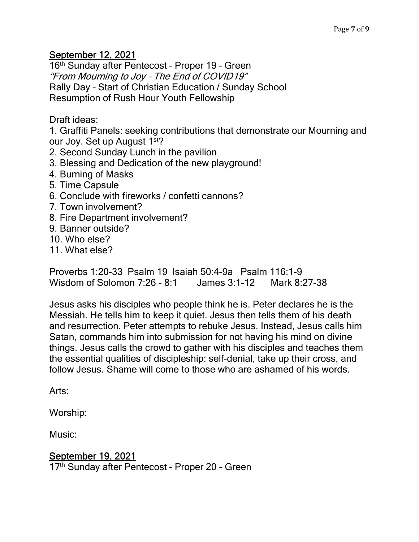# September 12, 2021

16<sup>th</sup> Sunday after Pentecost - Proper 19 - Green "From Mourning to Joy – The End of COVID19" Rally Day – Start of Christian Education / Sunday School Resumption of Rush Hour Youth Fellowship

Draft ideas:

1. Graffiti Panels: seeking contributions that demonstrate our Mourning and our Joy. Set up August 1<sup>st</sup>?

- 2. Second Sunday Lunch in the pavilion
- 3. Blessing and Dedication of the new playground!
- 4. Burning of Masks
- 5. Time Capsule
- 6. Conclude with fireworks / confetti cannons?
- 7. Town involvement?
- 8. Fire Department involvement?
- 9. Banner outside?
- 10. Who else?
- 11. What else?

Proverbs 1:20-33 Psalm 19 Isaiah 50:4-9a Psalm 116:1-9 Wisdom of Solomon 7:26 - 8:1 James 3:1-12 Mark 8:27-38

Jesus asks his disciples who people think he is. Peter declares he is the Messiah. He tells him to keep it quiet. Jesus then tells them of his death and resurrection. Peter attempts to rebuke Jesus. Instead, Jesus calls him Satan, commands him into submission for not having his mind on divine things. Jesus calls the crowd to gather with his disciples and teaches them the essential qualities of discipleship: self-denial, take up their cross, and follow Jesus. Shame will come to those who are ashamed of his words.

Arts:

Worship:

Music:

# September 19, 2021

17<sup>th</sup> Sunday after Pentecost - Proper 20 - Green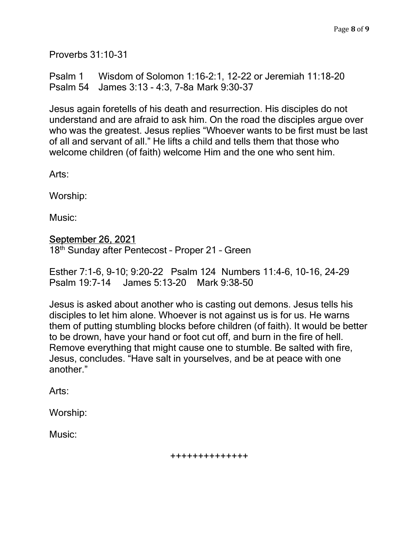Proverbs 31:10-31

Psalm 1 Wisdom of Solomon 1:16-2:1, 12-22 or Jeremiah 11:18-20 Psalm 54 James 3:13 - 4:3, 7-8a Mark 9:30-37

Jesus again foretells of his death and resurrection. His disciples do not understand and are afraid to ask him. On the road the disciples argue over who was the greatest. Jesus replies "Whoever wants to be first must be last of all and servant of all." He lifts a child and tells them that those who welcome children (of faith) welcome Him and the one who sent him.

Arts:

Worship:

Music:

#### September 26, 2021

18th Sunday after Pentecost – Proper 21 – Green

Esther 7:1-6, 9-10; 9:20-22 Psalm 124 Numbers 11:4-6, 10-16, 24-29 Psalm 19:7-14 James 5:13-20 Mark 9:38-50

Jesus is asked about another who is casting out demons. Jesus tells his disciples to let him alone. Whoever is not against us is for us. He warns them of putting stumbling blocks before children (of faith). It would be better to be drown, have your hand or foot cut off, and burn in the fire of hell. Remove everything that might cause one to stumble. Be salted with fire, Jesus, concludes. "Have salt in yourselves, and be at peace with one another."

Arts:

Worship:

Music:

++++++++++++++